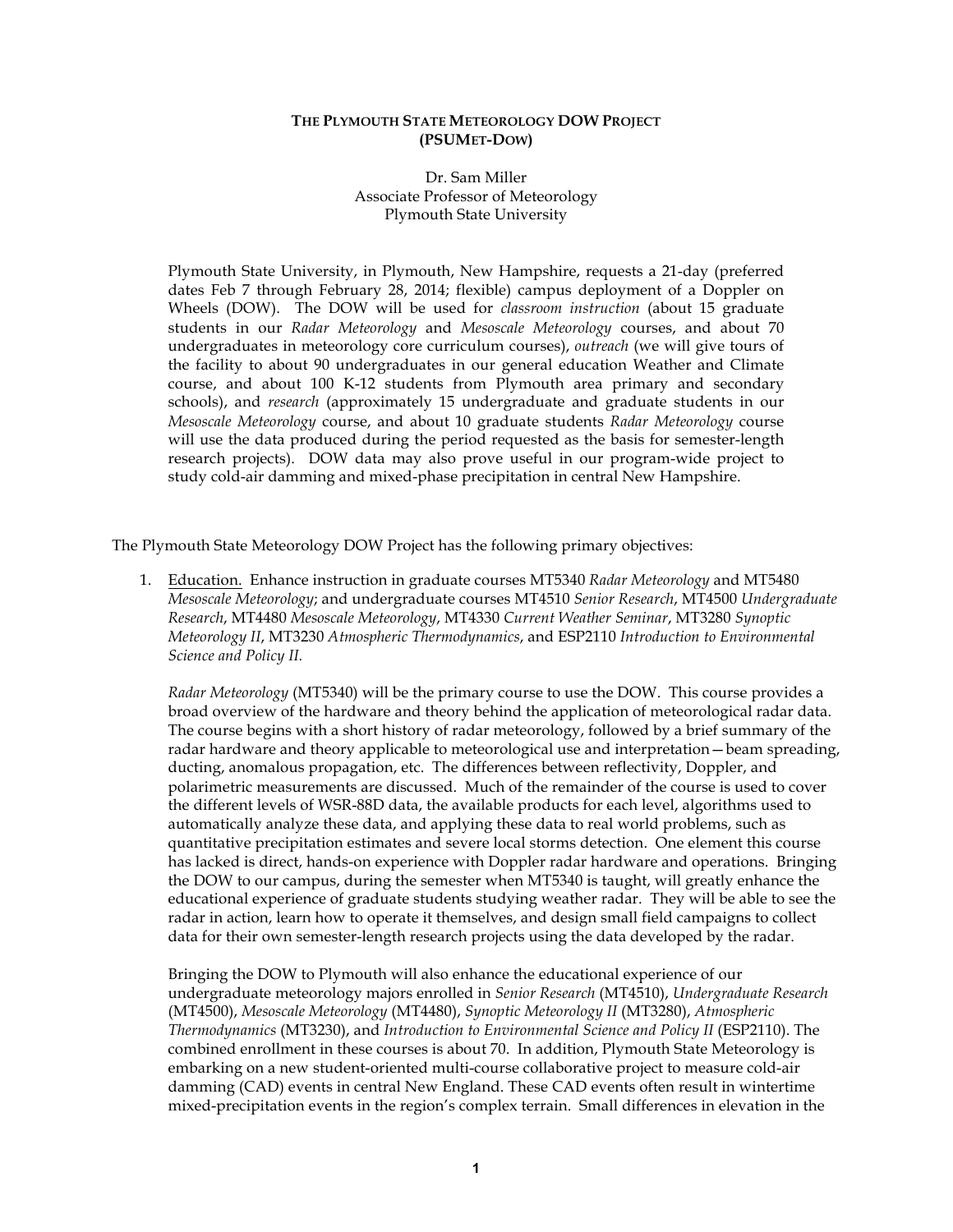#### **THE PLYMOUTH STATE METEOROLOGY DOW PROJECT (PSUMET-DOW)**

Dr. Sam Miller Associate Professor of Meteorology Plymouth State University

Plymouth State University, in Plymouth, New Hampshire, requests a 21-day (preferred dates Feb 7 through February 28, 2014; flexible) campus deployment of a Doppler on Wheels (DOW). The DOW will be used for *classroom instruction* (about 15 graduate students in our *Radar Meteorology* and *Mesoscale Meteorology* courses, and about 70 undergraduates in meteorology core curriculum courses), *outreach* (we will give tours of the facility to about 90 undergraduates in our general education Weather and Climate course, and about 100 K-12 students from Plymouth area primary and secondary schools), and *research* (approximately 15 undergraduate and graduate students in our *Mesoscale Meteorology* course, and about 10 graduate students *Radar Meteorology* course will use the data produced during the period requested as the basis for semester-length research projects). DOW data may also prove useful in our program-wide project to study cold-air damming and mixed-phase precipitation in central New Hampshire.

The Plymouth State Meteorology DOW Project has the following primary objectives:

1. Education. Enhance instruction in graduate courses MT5340 *Radar Meteorology* and MT5480 *Mesoscale Meteorology*; and undergraduate courses MT4510 *Senior Research*, MT4500 *Undergraduate Research*, MT4480 *Mesoscale Meteorology*, MT4330 *Current Weather Seminar*, MT3280 *Synoptic Meteorology II*, MT3230 *Atmospheric Thermodynamics*, and ESP2110 *Introduction to Environmental Science and Policy II.* 

*Radar Meteorology* (MT5340) will be the primary course to use the DOW. This course provides a broad overview of the hardware and theory behind the application of meteorological radar data. The course begins with a short history of radar meteorology, followed by a brief summary of the radar hardware and theory applicable to meteorological use and interpretation—beam spreading, ducting, anomalous propagation, etc. The differences between reflectivity, Doppler, and polarimetric measurements are discussed. Much of the remainder of the course is used to cover the different levels of WSR-88D data, the available products for each level, algorithms used to automatically analyze these data, and applying these data to real world problems, such as quantitative precipitation estimates and severe local storms detection. One element this course has lacked is direct, hands-on experience with Doppler radar hardware and operations. Bringing the DOW to our campus, during the semester when MT5340 is taught, will greatly enhance the educational experience of graduate students studying weather radar. They will be able to see the radar in action, learn how to operate it themselves, and design small field campaigns to collect data for their own semester-length research projects using the data developed by the radar.

Bringing the DOW to Plymouth will also enhance the educational experience of our undergraduate meteorology majors enrolled in *Senior Research* (MT4510), *Undergraduate Research* (MT4500), *Mesoscale Meteorology* (MT4480), *Synoptic Meteorology II* (MT3280), *Atmospheric Thermodynamics* (MT3230), and *Introduction to Environmental Science and Policy II* (ESP2110). The combined enrollment in these courses is about 70. In addition, Plymouth State Meteorology is embarking on a new student-oriented multi-course collaborative project to measure cold-air damming (CAD) events in central New England. These CAD events often result in wintertime mixed-precipitation events in the region's complex terrain. Small differences in elevation in the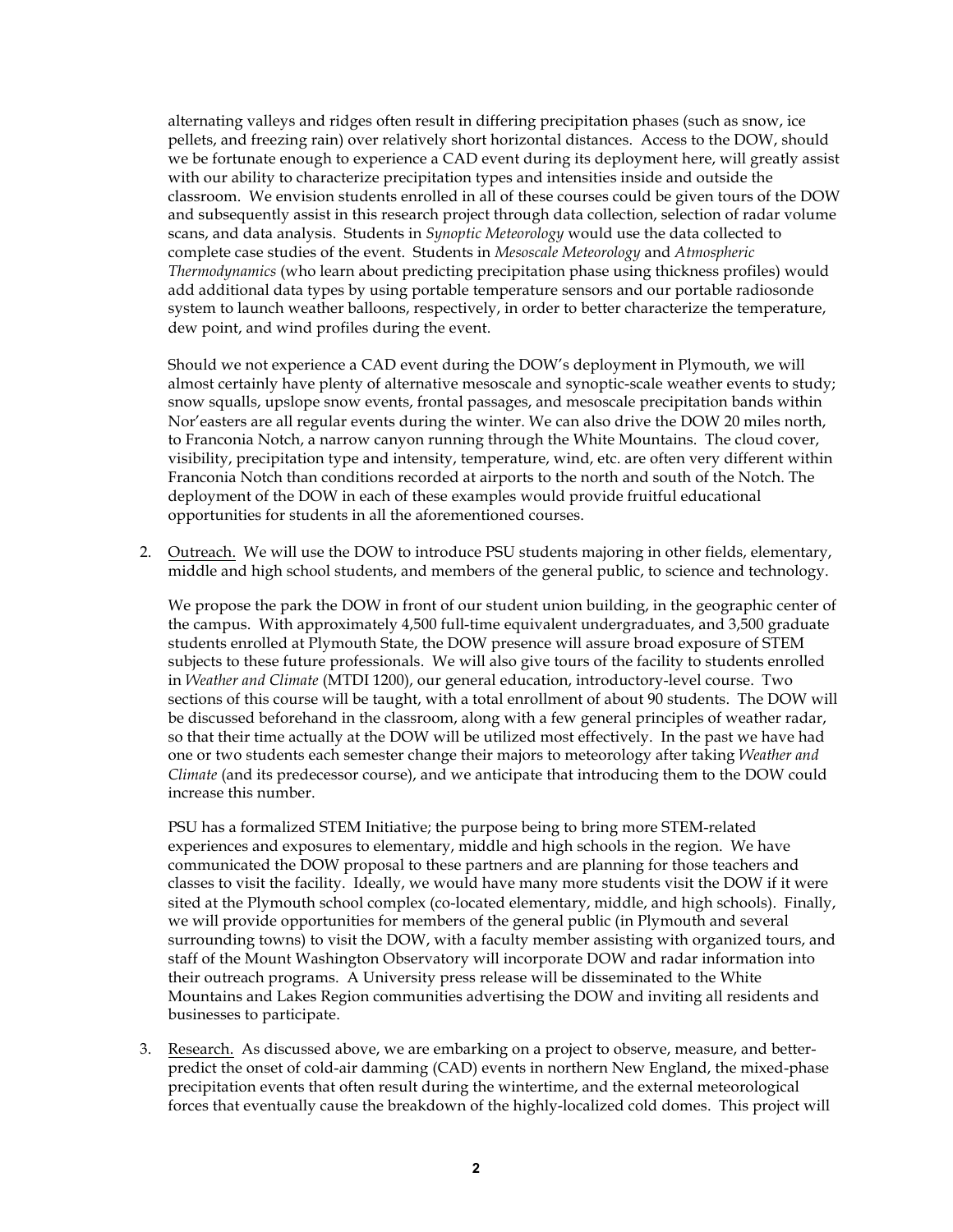alternating valleys and ridges often result in differing precipitation phases (such as snow, ice pellets, and freezing rain) over relatively short horizontal distances. Access to the DOW, should we be fortunate enough to experience a CAD event during its deployment here, will greatly assist with our ability to characterize precipitation types and intensities inside and outside the classroom. We envision students enrolled in all of these courses could be given tours of the DOW and subsequently assist in this research project through data collection, selection of radar volume scans, and data analysis. Students in *Synoptic Meteorology* would use the data collected to complete case studies of the event. Students in *Mesoscale Meteorology* and *Atmospheric Thermodynamics* (who learn about predicting precipitation phase using thickness profiles) would add additional data types by using portable temperature sensors and our portable radiosonde system to launch weather balloons, respectively, in order to better characterize the temperature, dew point, and wind profiles during the event.

Should we not experience a CAD event during the DOW's deployment in Plymouth, we will almost certainly have plenty of alternative mesoscale and synoptic-scale weather events to study; snow squalls, upslope snow events, frontal passages, and mesoscale precipitation bands within Nor'easters are all regular events during the winter. We can also drive the DOW 20 miles north, to Franconia Notch, a narrow canyon running through the White Mountains. The cloud cover, visibility, precipitation type and intensity, temperature, wind, etc. are often very different within Franconia Notch than conditions recorded at airports to the north and south of the Notch. The deployment of the DOW in each of these examples would provide fruitful educational opportunities for students in all the aforementioned courses.

2. Outreach. We will use the DOW to introduce PSU students majoring in other fields, elementary, middle and high school students, and members of the general public, to science and technology.

We propose the park the DOW in front of our student union building, in the geographic center of the campus. With approximately 4,500 full-time equivalent undergraduates, and 3,500 graduate students enrolled at Plymouth State, the DOW presence will assure broad exposure of STEM subjects to these future professionals. We will also give tours of the facility to students enrolled in *Weather and Climate* (MTDI 1200), our general education, introductory-level course. Two sections of this course will be taught, with a total enrollment of about 90 students. The DOW will be discussed beforehand in the classroom, along with a few general principles of weather radar, so that their time actually at the DOW will be utilized most effectively. In the past we have had one or two students each semester change their majors to meteorology after taking *Weather and Climate* (and its predecessor course), and we anticipate that introducing them to the DOW could increase this number.

PSU has a formalized STEM Initiative; the purpose being to bring more STEM-related experiences and exposures to elementary, middle and high schools in the region. We have communicated the DOW proposal to these partners and are planning for those teachers and classes to visit the facility. Ideally, we would have many more students visit the DOW if it were sited at the Plymouth school complex (co-located elementary, middle, and high schools). Finally, we will provide opportunities for members of the general public (in Plymouth and several surrounding towns) to visit the DOW, with a faculty member assisting with organized tours, and staff of the Mount Washington Observatory will incorporate DOW and radar information into their outreach programs. A University press release will be disseminated to the White Mountains and Lakes Region communities advertising the DOW and inviting all residents and businesses to participate.

3. Research. As discussed above, we are embarking on a project to observe, measure, and betterpredict the onset of cold-air damming (CAD) events in northern New England, the mixed-phase precipitation events that often result during the wintertime, and the external meteorological forces that eventually cause the breakdown of the highly-localized cold domes. This project will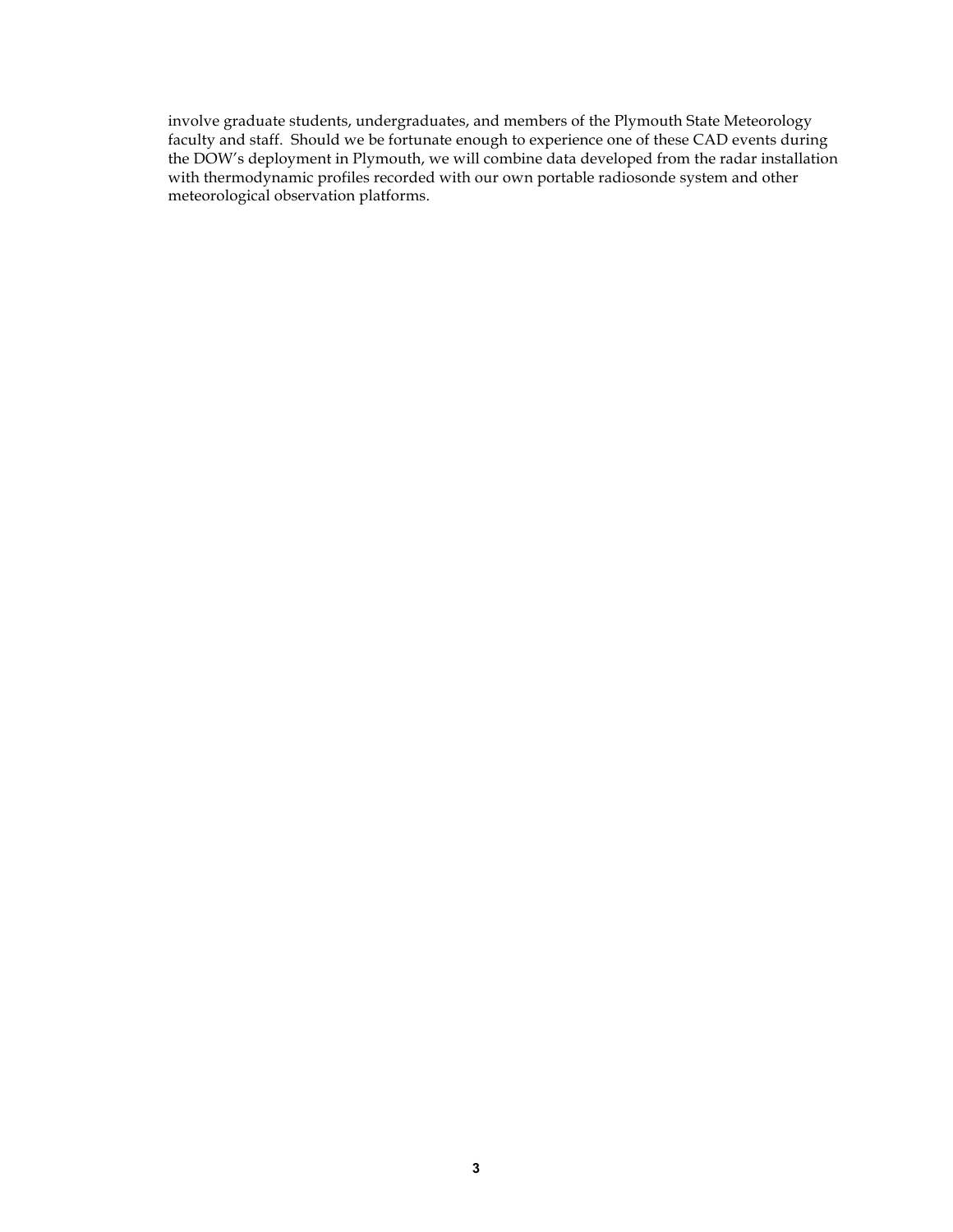involve graduate students, undergraduates, and members of the Plymouth State Meteorology faculty and staff. Should we be fortunate enough to experience one of these CAD events during the DOW's deployment in Plymouth, we will combine data developed from the radar installation with thermodynamic profiles recorded with our own portable radiosonde system and other meteorological observation platforms.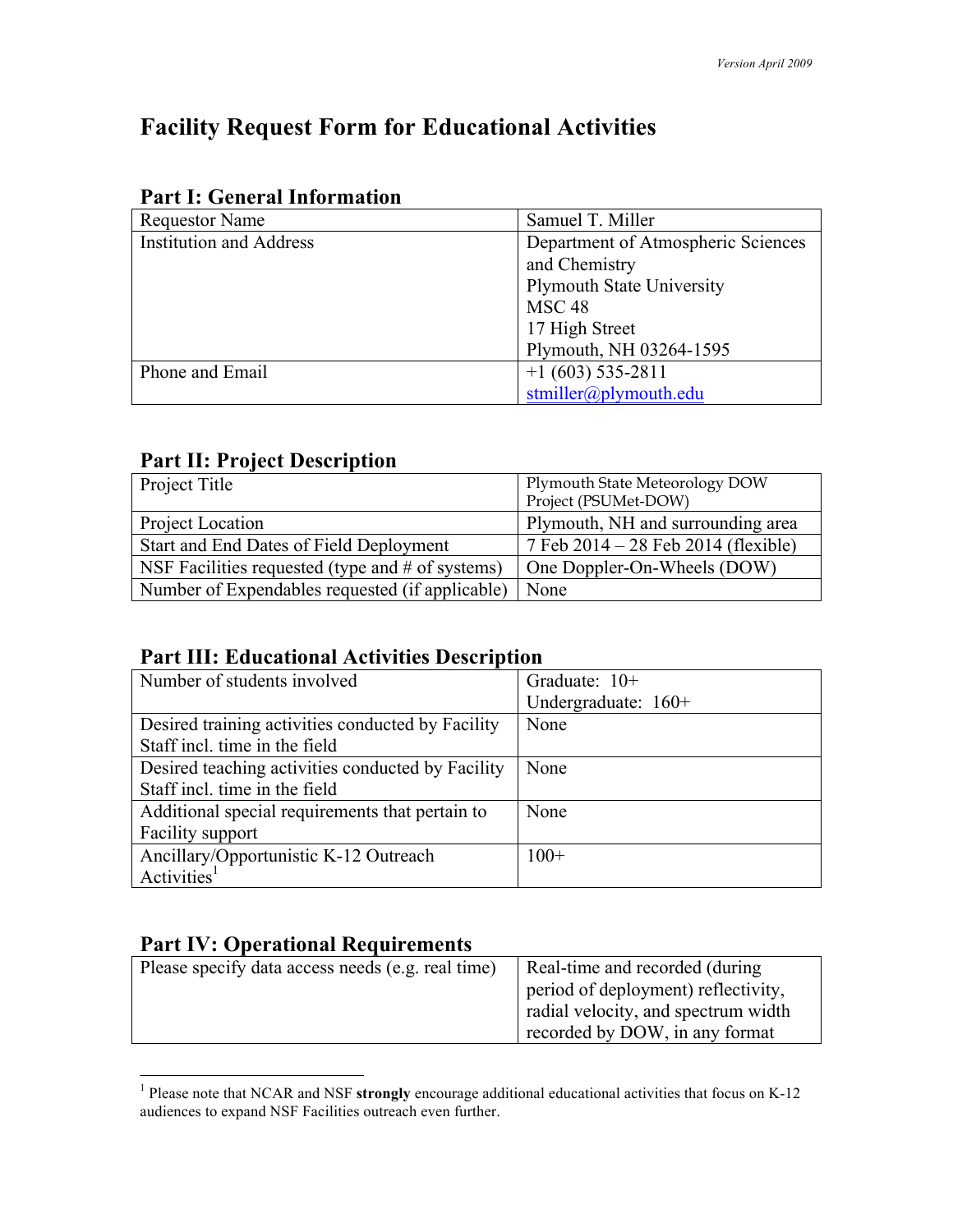# **Facility Request Form for Educational Activities**

| <b>Requestor Name</b>          | Samuel T. Miller                   |
|--------------------------------|------------------------------------|
| <b>Institution and Address</b> | Department of Atmospheric Sciences |
|                                | and Chemistry                      |
|                                | <b>Plymouth State University</b>   |
|                                | MSC <sub>48</sub>                  |
|                                | 17 High Street                     |
|                                | Plymouth, NH 03264-1595            |
| Phone and Email                | $+1(603)$ 535-2811                 |
|                                | stmiller@plymouth.edu              |

# **Part I: General Information**

### **Part II: Project Description**

| Project Title                                      | Plymouth State Meteorology DOW<br>Project (PSUMet-DOW) |
|----------------------------------------------------|--------------------------------------------------------|
| Project Location                                   | Plymouth, NH and surrounding area                      |
| Start and End Dates of Field Deployment            | 7 Feb $2014 - 28$ Feb $2014$ (flexible)                |
| NSF Facilities requested (type and $#$ of systems) | One Doppler-On-Wheels (DOW)                            |
| Number of Expendables requested (if applicable)    | None                                                   |

## **Part III: Educational Activities Description**

| Number of students involved                       | Graduate: $10+$     |
|---------------------------------------------------|---------------------|
|                                                   | Undergraduate: 160+ |
| Desired training activities conducted by Facility | None                |
| Staff incl. time in the field                     |                     |
| Desired teaching activities conducted by Facility | None                |
| Staff incl. time in the field                     |                     |
| Additional special requirements that pertain to   | None                |
| <b>Facility support</b>                           |                     |
| Ancillary/Opportunistic K-12 Outreach             | $100+$              |
| Activities <sup>1</sup>                           |                     |

## **Part IV: Operational Requirements**

| Please specify data access needs (e.g. real time) | Real-time and recorded (during      |
|---------------------------------------------------|-------------------------------------|
|                                                   | period of deployment) reflectivity, |
|                                                   | radial velocity, and spectrum width |
|                                                   | recorded by DOW, in any format      |
|                                                   |                                     |

 <sup>1</sup> Please note that NCAR and NSF **strongly** encourage additional educational activities that focus on K-12 audiences to expand NSF Facilities outreach even further.